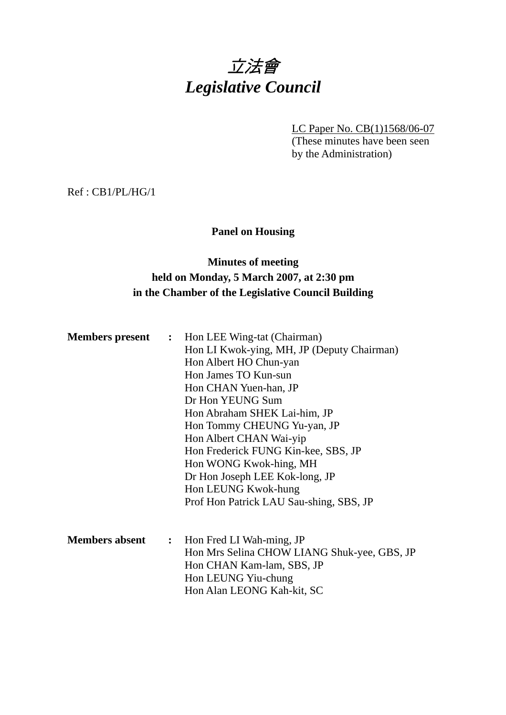# 立法會 *Legislative Council*

LC Paper No. CB(1)1568/06-07 (These minutes have been seen by the Administration)

Ref : CB1/PL/HG/1

### **Panel on Housing**

### **Minutes of meeting held on Monday, 5 March 2007, at 2:30 pm in the Chamber of the Legislative Council Building**

| <b>Members present</b> |                | : Hon LEE Wing-tat (Chairman)                                                                                         |  |  |  |
|------------------------|----------------|-----------------------------------------------------------------------------------------------------------------------|--|--|--|
|                        |                | Hon LI Kwok-ying, MH, JP (Deputy Chairman)<br>Hon Albert HO Chun-yan<br>Hon James TO Kun-sun<br>Hon CHAN Yuen-han, JP |  |  |  |
|                        |                |                                                                                                                       |  |  |  |
|                        |                |                                                                                                                       |  |  |  |
|                        |                |                                                                                                                       |  |  |  |
|                        |                | Dr Hon YEUNG Sum                                                                                                      |  |  |  |
|                        |                | Hon Abraham SHEK Lai-him, JP                                                                                          |  |  |  |
|                        |                | Hon Tommy CHEUNG Yu-yan, JP                                                                                           |  |  |  |
|                        |                | Hon Albert CHAN Wai-yip                                                                                               |  |  |  |
|                        |                | Hon Frederick FUNG Kin-kee, SBS, JP                                                                                   |  |  |  |
|                        |                | Hon WONG Kwok-hing, MH                                                                                                |  |  |  |
|                        |                | Dr Hon Joseph LEE Kok-long, JP                                                                                        |  |  |  |
|                        |                | Hon LEUNG Kwok-hung                                                                                                   |  |  |  |
|                        |                | Prof Hon Patrick LAU Sau-shing, SBS, JP                                                                               |  |  |  |
| <b>Members absent</b>  | $\ddot{\cdot}$ | Hon Fred LI Wah-ming, JP                                                                                              |  |  |  |
|                        |                | Hon Mrs Selina CHOW LIANG Shuk-yee, GBS, JP                                                                           |  |  |  |
|                        |                | Hon CHAN Kam-lam, SBS, JP                                                                                             |  |  |  |
|                        |                | Hon LEUNG Yiu-chung                                                                                                   |  |  |  |
|                        |                | Hon Alan LEONG Kah-kit, SC                                                                                            |  |  |  |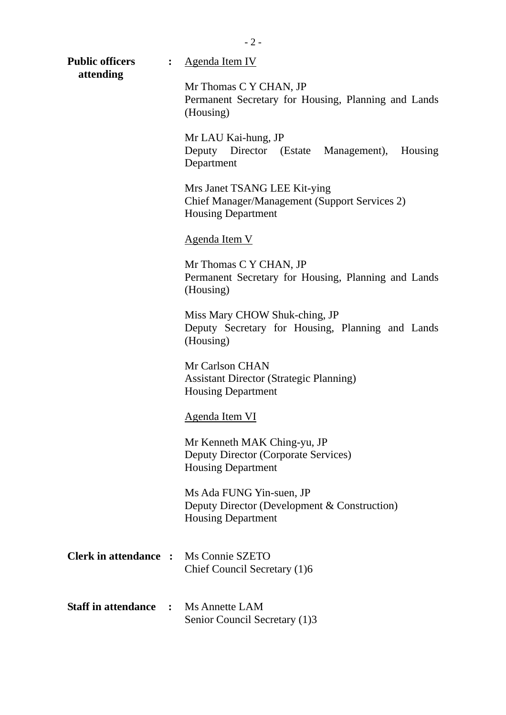- 2 -

**Public officers :** Agenda Item IV  **attending** 

Mr Thomas C Y CHAN, JP Permanent Secretary for Housing, Planning and Lands (Housing) Mr LAU Kai-hung, JP Deputy Director (Estate Management), Housing Department Mrs Janet TSANG LEE Kit-ying Chief Manager/Management (Support Services 2) Housing Department Agenda Item V Mr Thomas C Y CHAN, JP Permanent Secretary for Housing, Planning and Lands (Housing) Miss Mary CHOW Shuk-ching, JP Deputy Secretary for Housing, Planning and Lands (Housing) Mr Carlson CHAN Assistant Director (Strategic Planning) Housing Department Agenda Item VI Mr Kenneth MAK Ching-yu, JP

Deputy Director (Corporate Services) Housing Department

Ms Ada FUNG Yin-suen, JP Deputy Director (Development & Construction) Housing Department

- **Clerk in attendance :** Ms Connie SZETO Chief Council Secretary (1)6
- **Staff in attendance :** Ms Annette LAM Senior Council Secretary (1)3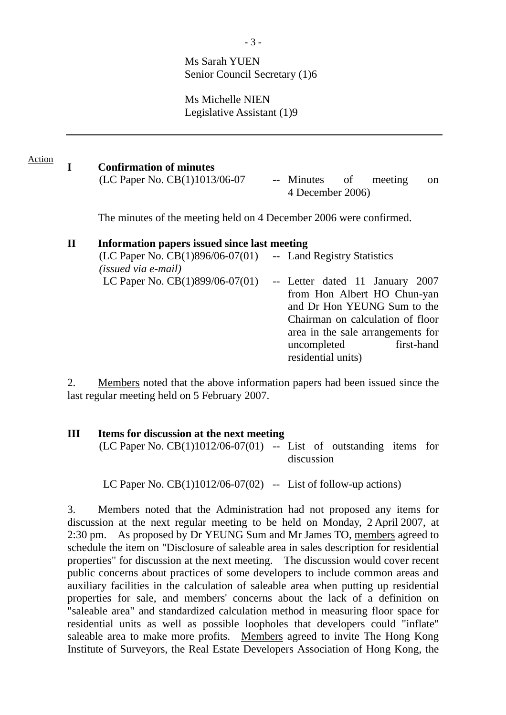### Ms Sarah YUEN Senior Council Secretary (1)6

Ms Michelle NIEN Legislative Assistant (1)9

#### **I Confirmation of minutes**  Action

| (LC Paper No. CB(1)1013/06-07 |  |                  |  | -- Minutes of meeting on |  |
|-------------------------------|--|------------------|--|--------------------------|--|
|                               |  | 4 December 2006) |  |                          |  |

The minutes of the meeting held on 4 December 2006 were confirmed.

### **II Information papers issued since last meeting**  (LC Paper No. CB(1)896/06-07(01) *(issued via e-mail)*  -- Land Registry Statistics LC Paper No. CB(1)899/06-07(01) -- Letter dated 11 January 2007 from Hon Albert HO Chun-yan and Dr Hon YEUNG Sum to the Chairman on calculation of floor area in the sale arrangements for uncompleted first-hand residential units)

2. Members noted that the above information papers had been issued since the last regular meeting held on 5 February 2007.

## **III Items for discussion at the next meeting**   $(LC$  Paper No.  $CB(1)1012/06-07(01)$  -- List of outstanding items for discussion

LC Paper No.  $CB(1)1012/06-07(02)$  -- List of follow-up actions)

3. Members noted that the Administration had not proposed any items for discussion at the next regular meeting to be held on Monday, 2 April 2007, at 2:30 pm. As proposed by Dr YEUNG Sum and Mr James TO, members agreed to schedule the item on "Disclosure of saleable area in sales description for residential properties" for discussion at the next meeting. The discussion would cover recent public concerns about practices of some developers to include common areas and auxiliary facilities in the calculation of saleable area when putting up residential properties for sale, and members' concerns about the lack of a definition on "saleable area" and standardized calculation method in measuring floor space for residential units as well as possible loopholes that developers could "inflate" saleable area to make more profits. Members agreed to invite The Hong Kong Institute of Surveyors, the Real Estate Developers Association of Hong Kong, the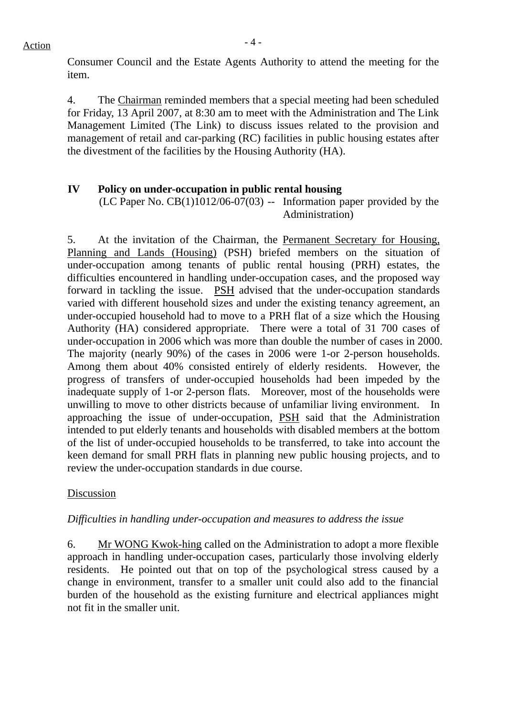Consumer Council and the Estate Agents Authority to attend the meeting for the item.

4. The Chairman reminded members that a special meeting had been scheduled for Friday, 13 April 2007, at 8:30 am to meet with the Administration and The Link Management Limited (The Link) to discuss issues related to the provision and management of retail and car-parking (RC) facilities in public housing estates after the divestment of the facilities by the Housing Authority (HA).

### **IV Policy on under-occupation in public rental housing**

(LC Paper No.  $CB(1)1012/06-07(03)$  -- Information paper provided by the Administration)

5. At the invitation of the Chairman, the Permanent Secretary for Housing, Planning and Lands (Housing) (PSH) briefed members on the situation of under-occupation among tenants of public rental housing (PRH) estates, the difficulties encountered in handling under-occupation cases, and the proposed way forward in tackling the issue. PSH advised that the under-occupation standards varied with different household sizes and under the existing tenancy agreement, an under-occupied household had to move to a PRH flat of a size which the Housing Authority (HA) considered appropriate. There were a total of 31 700 cases of under-occupation in 2006 which was more than double the number of cases in 2000. The majority (nearly 90%) of the cases in 2006 were 1-or 2-person households. Among them about 40% consisted entirely of elderly residents. However, the progress of transfers of under-occupied households had been impeded by the inadequate supply of 1-or 2-person flats. Moreover, most of the households were unwilling to move to other districts because of unfamiliar living environment. In approaching the issue of under-occupation, PSH said that the Administration intended to put elderly tenants and households with disabled members at the bottom of the list of under-occupied households to be transferred, to take into account the keen demand for small PRH flats in planning new public housing projects, and to review the under-occupation standards in due course.

### Discussion

### *Difficulties in handling under-occupation and measures to address the issue*

6. Mr WONG Kwok-hing called on the Administration to adopt a more flexible approach in handling under-occupation cases, particularly those involving elderly residents. He pointed out that on top of the psychological stress caused by a change in environment, transfer to a smaller unit could also add to the financial burden of the household as the existing furniture and electrical appliances might not fit in the smaller unit.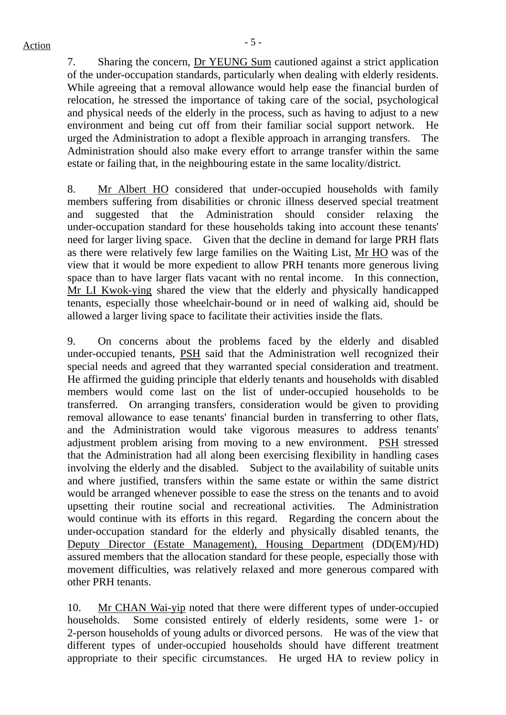7. Sharing the concern, Dr YEUNG Sum cautioned against a strict application of the under-occupation standards, particularly when dealing with elderly residents. While agreeing that a removal allowance would help ease the financial burden of relocation, he stressed the importance of taking care of the social, psychological and physical needs of the elderly in the process, such as having to adjust to a new environment and being cut off from their familiar social support network. He urged the Administration to adopt a flexible approach in arranging transfers. The Administration should also make every effort to arrange transfer within the same estate or failing that, in the neighbouring estate in the same locality/district.

8. Mr Albert HO considered that under-occupied households with family members suffering from disabilities or chronic illness deserved special treatment and suggested that the Administration should consider relaxing the under-occupation standard for these households taking into account these tenants' need for larger living space. Given that the decline in demand for large PRH flats as there were relatively few large families on the Waiting List, Mr HO was of the view that it would be more expedient to allow PRH tenants more generous living space than to have larger flats vacant with no rental income. In this connection, Mr LI Kwok-ying shared the view that the elderly and physically handicapped tenants, especially those wheelchair-bound or in need of walking aid, should be allowed a larger living space to facilitate their activities inside the flats.

9. On concerns about the problems faced by the elderly and disabled under-occupied tenants, PSH said that the Administration well recognized their special needs and agreed that they warranted special consideration and treatment. He affirmed the guiding principle that elderly tenants and households with disabled members would come last on the list of under-occupied households to be transferred. On arranging transfers, consideration would be given to providing removal allowance to ease tenants' financial burden in transferring to other flats, and the Administration would take vigorous measures to address tenants' adjustment problem arising from moving to a new environment. PSH stressed that the Administration had all along been exercising flexibility in handling cases involving the elderly and the disabled. Subject to the availability of suitable units and where justified, transfers within the same estate or within the same district would be arranged whenever possible to ease the stress on the tenants and to avoid upsetting their routine social and recreational activities. The Administration would continue with its efforts in this regard. Regarding the concern about the under-occupation standard for the elderly and physically disabled tenants, the Deputy Director (Estate Management), Housing Department (DD(EM)/HD) assured members that the allocation standard for these people, especially those with movement difficulties, was relatively relaxed and more generous compared with other PRH tenants.

10. Mr CHAN Wai-yip noted that there were different types of under-occupied households. Some consisted entirely of elderly residents, some were 1- or 2-person households of young adults or divorced persons. He was of the view that different types of under-occupied households should have different treatment appropriate to their specific circumstances. He urged HA to review policy in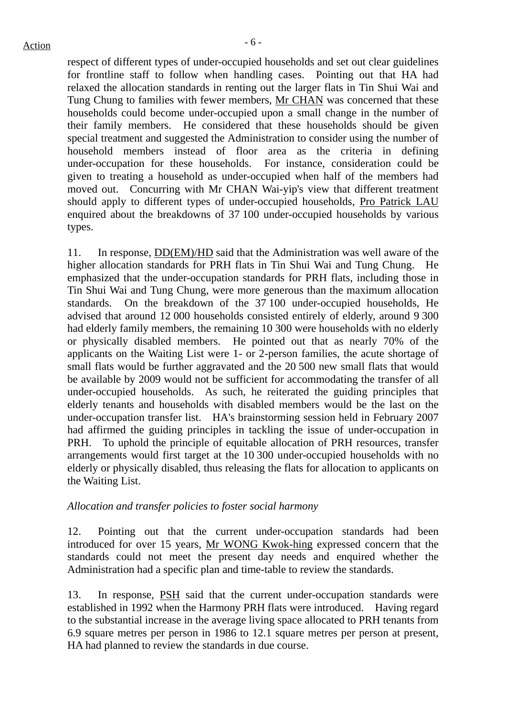respect of different types of under-occupied households and set out clear guidelines for frontline staff to follow when handling cases. Pointing out that HA had relaxed the allocation standards in renting out the larger flats in Tin Shui Wai and Tung Chung to families with fewer members, Mr CHAN was concerned that these households could become under-occupied upon a small change in the number of their family members. He considered that these households should be given special treatment and suggested the Administration to consider using the number of household members instead of floor area as the criteria in defining under-occupation for these households. For instance, consideration could be given to treating a household as under-occupied when half of the members had moved out. Concurring with Mr CHAN Wai-yip's view that different treatment should apply to different types of under-occupied households, Pro Patrick LAU enquired about the breakdowns of 37 100 under-occupied households by various types.

11. In response,  $DD(EM)/HD$  said that the Administration was well aware of the higher allocation standards for PRH flats in Tin Shui Wai and Tung Chung. He emphasized that the under-occupation standards for PRH flats, including those in Tin Shui Wai and Tung Chung, were more generous than the maximum allocation standards. On the breakdown of the 37 100 under-occupied households, He advised that around 12 000 households consisted entirely of elderly, around 9 300 had elderly family members, the remaining 10 300 were households with no elderly or physically disabled members. He pointed out that as nearly 70% of the applicants on the Waiting List were 1- or 2-person families, the acute shortage of small flats would be further aggravated and the 20 500 new small flats that would be available by 2009 would not be sufficient for accommodating the transfer of all under-occupied households. As such, he reiterated the guiding principles that elderly tenants and households with disabled members would be the last on the under-occupation transfer list. HA's brainstorming session held in February 2007 had affirmed the guiding principles in tackling the issue of under-occupation in PRH. To uphold the principle of equitable allocation of PRH resources, transfer arrangements would first target at the 10 300 under-occupied households with no elderly or physically disabled, thus releasing the flats for allocation to applicants on the Waiting List.

### *Allocation and transfer policies to foster social harmony*

12. Pointing out that the current under-occupation standards had been introduced for over 15 years, Mr WONG Kwok-hing expressed concern that the standards could not meet the present day needs and enquired whether the Administration had a specific plan and time-table to review the standards.

13. In response, PSH said that the current under-occupation standards were established in 1992 when the Harmony PRH flats were introduced. Having regard to the substantial increase in the average living space allocated to PRH tenants from 6.9 square metres per person in 1986 to 12.1 square metres per person at present, HA had planned to review the standards in due course.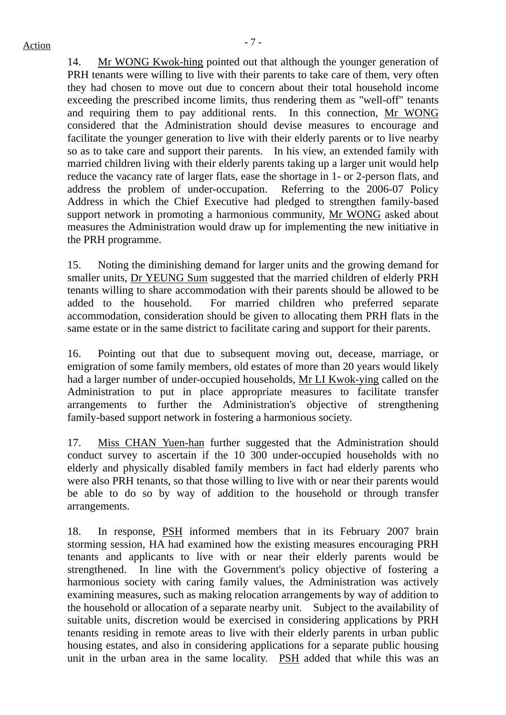14. Mr WONG Kwok-hing pointed out that although the younger generation of PRH tenants were willing to live with their parents to take care of them, very often they had chosen to move out due to concern about their total household income exceeding the prescribed income limits, thus rendering them as "well-off" tenants and requiring them to pay additional rents. In this connection, Mr WONG considered that the Administration should devise measures to encourage and facilitate the younger generation to live with their elderly parents or to live nearby so as to take care and support their parents. In his view, an extended family with married children living with their elderly parents taking up a larger unit would help reduce the vacancy rate of larger flats, ease the shortage in 1- or 2-person flats, and address the problem of under-occupation. Referring to the 2006-07 Policy Address in which the Chief Executive had pledged to strengthen family-based support network in promoting a harmonious community, Mr WONG asked about measures the Administration would draw up for implementing the new initiative in the PRH programme.

15. Noting the diminishing demand for larger units and the growing demand for smaller units, Dr YEUNG Sum suggested that the married children of elderly PRH tenants willing to share accommodation with their parents should be allowed to be added to the household. For married children who preferred separate accommodation, consideration should be given to allocating them PRH flats in the same estate or in the same district to facilitate caring and support for their parents.

16. Pointing out that due to subsequent moving out, decease, marriage, or emigration of some family members, old estates of more than 20 years would likely had a larger number of under-occupied households, Mr LI Kwok-ying called on the Administration to put in place appropriate measures to facilitate transfer arrangements to further the Administration's objective of strengthening family-based support network in fostering a harmonious society.

17. Miss CHAN Yuen-han further suggested that the Administration should conduct survey to ascertain if the 10 300 under-occupied households with no elderly and physically disabled family members in fact had elderly parents who were also PRH tenants, so that those willing to live with or near their parents would be able to do so by way of addition to the household or through transfer arrangements.

18. In response, PSH informed members that in its February 2007 brain storming session, HA had examined how the existing measures encouraging PRH tenants and applicants to live with or near their elderly parents would be strengthened. In line with the Government's policy objective of fostering a harmonious society with caring family values, the Administration was actively examining measures, such as making relocation arrangements by way of addition to the household or allocation of a separate nearby unit. Subject to the availability of suitable units, discretion would be exercised in considering applications by PRH tenants residing in remote areas to live with their elderly parents in urban public housing estates, and also in considering applications for a separate public housing unit in the urban area in the same locality. PSH added that while this was an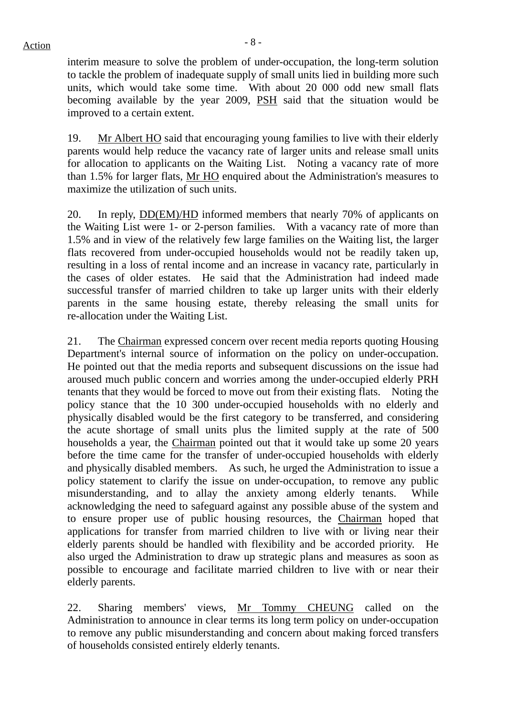$Action$ 

interim measure to solve the problem of under-occupation, the long-term solution to tackle the problem of inadequate supply of small units lied in building more such units, which would take some time. With about 20 000 odd new small flats becoming available by the year 2009, PSH said that the situation would be improved to a certain extent.

19. Mr Albert HO said that encouraging young families to live with their elderly parents would help reduce the vacancy rate of larger units and release small units for allocation to applicants on the Waiting List. Noting a vacancy rate of more than 1.5% for larger flats, Mr HO enquired about the Administration's measures to maximize the utilization of such units.

20. In reply, DD(EM)/HD informed members that nearly 70% of applicants on the Waiting List were 1- or 2-person families. With a vacancy rate of more than 1.5% and in view of the relatively few large families on the Waiting list, the larger flats recovered from under-occupied households would not be readily taken up, resulting in a loss of rental income and an increase in vacancy rate, particularly in the cases of older estates. He said that the Administration had indeed made successful transfer of married children to take up larger units with their elderly parents in the same housing estate, thereby releasing the small units for re-allocation under the Waiting List.

21. The Chairman expressed concern over recent media reports quoting Housing Department's internal source of information on the policy on under-occupation. He pointed out that the media reports and subsequent discussions on the issue had aroused much public concern and worries among the under-occupied elderly PRH tenants that they would be forced to move out from their existing flats. Noting the policy stance that the 10 300 under-occupied households with no elderly and physically disabled would be the first category to be transferred, and considering the acute shortage of small units plus the limited supply at the rate of 500 households a year, the Chairman pointed out that it would take up some 20 years before the time came for the transfer of under-occupied households with elderly and physically disabled members. As such, he urged the Administration to issue a policy statement to clarify the issue on under-occupation, to remove any public misunderstanding, and to allay the anxiety among elderly tenants. While acknowledging the need to safeguard against any possible abuse of the system and to ensure proper use of public housing resources, the Chairman hoped that applications for transfer from married children to live with or living near their elderly parents should be handled with flexibility and be accorded priority. He also urged the Administration to draw up strategic plans and measures as soon as possible to encourage and facilitate married children to live with or near their elderly parents.

22. Sharing members' views, Mr Tommy CHEUNG called on the Administration to announce in clear terms its long term policy on under-occupation to remove any public misunderstanding and concern about making forced transfers of households consisted entirely elderly tenants.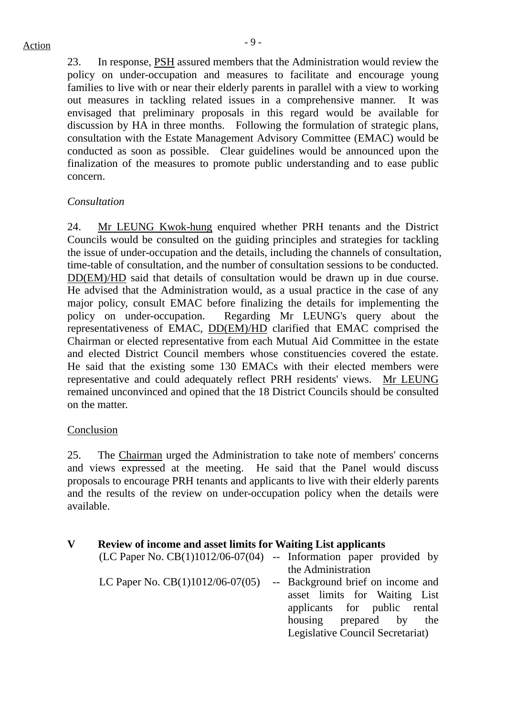23. In response, PSH assured members that the Administration would review the policy on under-occupation and measures to facilitate and encourage young families to live with or near their elderly parents in parallel with a view to working out measures in tackling related issues in a comprehensive manner. It was envisaged that preliminary proposals in this regard would be available for discussion by HA in three months. Following the formulation of strategic plans, consultation with the Estate Management Advisory Committee (EMAC) would be conducted as soon as possible. Clear guidelines would be announced upon the finalization of the measures to promote public understanding and to ease public concern.

### *Consultation*

24. Mr LEUNG Kwok-hung enquired whether PRH tenants and the District Councils would be consulted on the guiding principles and strategies for tackling the issue of under-occupation and the details, including the channels of consultation, time-table of consultation, and the number of consultation sessions to be conducted. DD(EM)/HD said that details of consultation would be drawn up in due course. He advised that the Administration would, as a usual practice in the case of any major policy, consult EMAC before finalizing the details for implementing the policy on under-occupation. Regarding Mr LEUNG's query about the representativeness of EMAC, DD(EM)/HD clarified that EMAC comprised the Chairman or elected representative from each Mutual Aid Committee in the estate and elected District Council members whose constituencies covered the estate. He said that the existing some 130 EMACs with their elected members were representative and could adequately reflect PRH residents' views. Mr LEUNG remained unconvinced and opined that the 18 District Councils should be consulted on the matter.

### Conclusion

25. The Chairman urged the Administration to take note of members' concerns and views expressed at the meeting. He said that the Panel would discuss proposals to encourage PRH tenants and applicants to live with their elderly parents and the results of the review on under-occupation policy when the details were available.

#### **V Review of income and asset limits for Waiting List applicants**   $\sum_{n=0}^{\infty}$  (D(1)1012/06-07(04) -- Information paper provided by

|                                    | (LC Paper No. CB(1)1012/06-07(04) -- Information paper provided by |
|------------------------------------|--------------------------------------------------------------------|
|                                    | the Administration                                                 |
| LC Paper No. $CB(1)1012/06-07(05)$ | -- Background brief on income and                                  |
|                                    | asset limits for Waiting List                                      |
|                                    | applicants for public rental                                       |
|                                    | housing prepared by the                                            |
|                                    | Legislative Council Secretariat)                                   |
|                                    |                                                                    |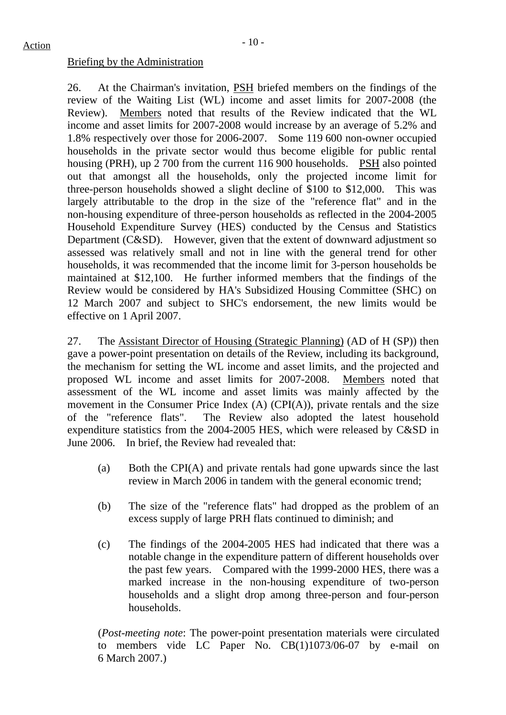### Briefing by the Administration

26. At the Chairman's invitation, PSH briefed members on the findings of the review of the Waiting List (WL) income and asset limits for 2007-2008 (the Review). Members noted that results of the Review indicated that the WL income and asset limits for 2007-2008 would increase by an average of 5.2% and 1.8% respectively over those for 2006-2007. Some 119 600 non-owner occupied households in the private sector would thus become eligible for public rental housing (PRH), up 2 700 from the current 116 900 households. PSH also pointed out that amongst all the households, only the projected income limit for three-person households showed a slight decline of \$100 to \$12,000. This was largely attributable to the drop in the size of the "reference flat" and in the non-housing expenditure of three-person households as reflected in the 2004-2005 Household Expenditure Survey (HES) conducted by the Census and Statistics Department (C&SD). However, given that the extent of downward adjustment so assessed was relatively small and not in line with the general trend for other households, it was recommended that the income limit for 3-person households be maintained at \$12,100. He further informed members that the findings of the Review would be considered by HA's Subsidized Housing Committee (SHC) on 12 March 2007 and subject to SHC's endorsement, the new limits would be effective on 1 April 2007.

27. The Assistant Director of Housing (Strategic Planning) (AD of H (SP)) then gave a power-point presentation on details of the Review, including its background, the mechanism for setting the WL income and asset limits, and the projected and proposed WL income and asset limits for 2007-2008. Members noted that assessment of the WL income and asset limits was mainly affected by the movement in the Consumer Price Index (A) (CPI(A)), private rentals and the size of the "reference flats". The Review also adopted the latest household expenditure statistics from the 2004-2005 HES, which were released by C&SD in June 2006. In brief, the Review had revealed that:

- (a) Both the CPI(A) and private rentals had gone upwards since the last review in March 2006 in tandem with the general economic trend;
- (b) The size of the "reference flats" had dropped as the problem of an excess supply of large PRH flats continued to diminish; and
- (c) The findings of the 2004-2005 HES had indicated that there was a notable change in the expenditure pattern of different households over the past few years. Compared with the 1999-2000 HES, there was a marked increase in the non-housing expenditure of two-person households and a slight drop among three-person and four-person households.

(*Post-meeting note*: The power-point presentation materials were circulated to members vide LC Paper No. CB(1)1073/06-07 by e-mail on 6 March 2007.)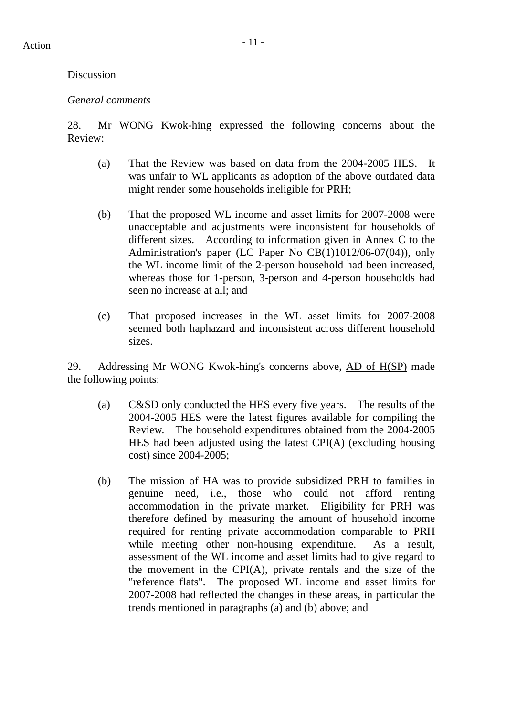### Discussion

### *General comments*

28. Mr WONG Kwok-hing expressed the following concerns about the Review:

- (a) That the Review was based on data from the 2004-2005 HES. It was unfair to WL applicants as adoption of the above outdated data might render some households ineligible for PRH;
- (b) That the proposed WL income and asset limits for 2007-2008 were unacceptable and adjustments were inconsistent for households of different sizes. According to information given in Annex C to the Administration's paper (LC Paper No CB(1)1012/06-07(04)), only the WL income limit of the 2-person household had been increased, whereas those for 1-person, 3-person and 4-person households had seen no increase at all; and
- (c) That proposed increases in the WL asset limits for 2007-2008 seemed both haphazard and inconsistent across different household sizes.

29. Addressing Mr WONG Kwok-hing's concerns above, AD of H(SP) made the following points:

- (a) C&SD only conducted the HES every five years. The results of the 2004-2005 HES were the latest figures available for compiling the Review. The household expenditures obtained from the 2004-2005 HES had been adjusted using the latest CPI(A) (excluding housing cost) since 2004-2005;
- (b) The mission of HA was to provide subsidized PRH to families in genuine need, i.e., those who could not afford renting accommodation in the private market. Eligibility for PRH was therefore defined by measuring the amount of household income required for renting private accommodation comparable to PRH while meeting other non-housing expenditure. As a result, assessment of the WL income and asset limits had to give regard to the movement in the CPI(A), private rentals and the size of the "reference flats". The proposed WL income and asset limits for 2007-2008 had reflected the changes in these areas, in particular the trends mentioned in paragraphs (a) and (b) above; and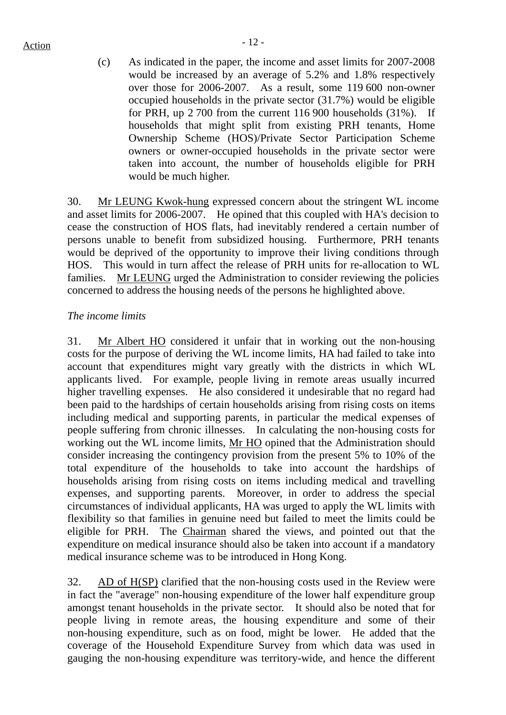### $Action$

(c) As indicated in the paper, the income and asset limits for 2007-2008 would be increased by an average of 5.2% and 1.8% respectively over those for 2006-2007. As a result, some 119 600 non-owner occupied households in the private sector (31.7%) would be eligible for PRH, up 2 700 from the current 116 900 households (31%). If households that might split from existing PRH tenants, Home Ownership Scheme (HOS)/Private Sector Participation Scheme owners or owner-occupied households in the private sector were taken into account, the number of households eligible for PRH would be much higher.

30. Mr LEUNG Kwok-hung expressed concern about the stringent WL income and asset limits for 2006-2007. He opined that this coupled with HA's decision to cease the construction of HOS flats, had inevitably rendered a certain number of persons unable to benefit from subsidized housing. Furthermore, PRH tenants would be deprived of the opportunity to improve their living conditions through HOS. This would in turn affect the release of PRH units for re-allocation to WL families. Mr LEUNG urged the Administration to consider reviewing the policies concerned to address the housing needs of the persons he highlighted above.

### *The income limits*

31. Mr Albert HO considered it unfair that in working out the non-housing costs for the purpose of deriving the WL income limits, HA had failed to take into account that expenditures might vary greatly with the districts in which WL applicants lived. For example, people living in remote areas usually incurred higher travelling expenses. He also considered it undesirable that no regard had been paid to the hardships of certain households arising from rising costs on items including medical and supporting parents, in particular the medical expenses of people suffering from chronic illnesses. In calculating the non-housing costs for working out the WL income limits, Mr HO opined that the Administration should consider increasing the contingency provision from the present 5% to 10% of the total expenditure of the households to take into account the hardships of households arising from rising costs on items including medical and travelling expenses, and supporting parents. Moreover, in order to address the special circumstances of individual applicants, HA was urged to apply the WL limits with flexibility so that families in genuine need but failed to meet the limits could be eligible for PRH. The Chairman shared the views, and pointed out that the expenditure on medical insurance should also be taken into account if a mandatory medical insurance scheme was to be introduced in Hong Kong.

32. AD of H(SP) clarified that the non-housing costs used in the Review were in fact the "average" non-housing expenditure of the lower half expenditure group amongst tenant households in the private sector. It should also be noted that for people living in remote areas, the housing expenditure and some of their non-housing expenditure, such as on food, might be lower. He added that the coverage of the Household Expenditure Survey from which data was used in gauging the non-housing expenditure was territory-wide, and hence the different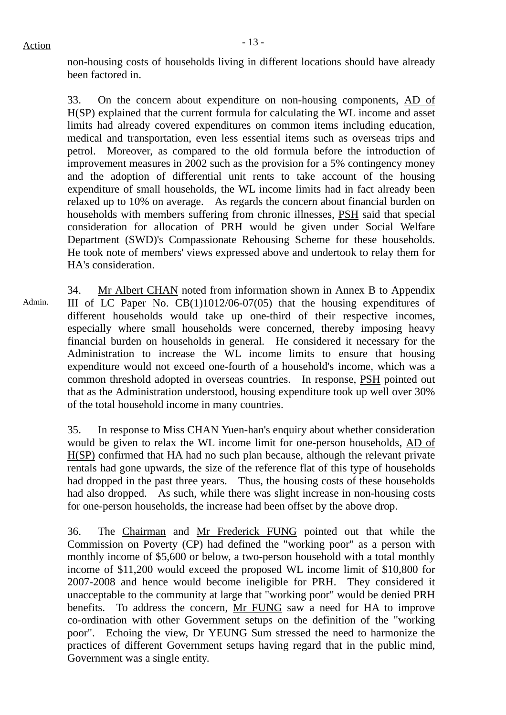non-housing costs of households living in different locations should have already been factored in.

33. On the concern about expenditure on non-housing components, AD of H(SP) explained that the current formula for calculating the WL income and asset limits had already covered expenditures on common items including education, medical and transportation, even less essential items such as overseas trips and petrol. Moreover, as compared to the old formula before the introduction of improvement measures in 2002 such as the provision for a 5% contingency money and the adoption of differential unit rents to take account of the housing expenditure of small households, the WL income limits had in fact already been relaxed up to 10% on average. As regards the concern about financial burden on households with members suffering from chronic illnesses, PSH said that special consideration for allocation of PRH would be given under Social Welfare Department (SWD)'s Compassionate Rehousing Scheme for these households. He took note of members' views expressed above and undertook to relay them for HA's consideration.

34. Mr Albert CHAN noted from information shown in Annex B to Appendix III of LC Paper No. CB(1)1012/06-07(05) that the housing expenditures of different households would take up one-third of their respective incomes, especially where small households were concerned, thereby imposing heavy financial burden on households in general. He considered it necessary for the Administration to increase the WL income limits to ensure that housing expenditure would not exceed one-fourth of a household's income, which was a common threshold adopted in overseas countries. In response, PSH pointed out that as the Administration understood, housing expenditure took up well over 30% of the total household income in many countries. Admin.

> 35. In response to Miss CHAN Yuen-han's enquiry about whether consideration would be given to relax the WL income limit for one-person households, AD of H(SP) confirmed that HA had no such plan because, although the relevant private rentals had gone upwards, the size of the reference flat of this type of households had dropped in the past three years. Thus, the housing costs of these households had also dropped. As such, while there was slight increase in non-housing costs for one-person households, the increase had been offset by the above drop.

> 36. The Chairman and Mr Frederick FUNG pointed out that while the Commission on Poverty (CP) had defined the "working poor" as a person with monthly income of \$5,600 or below, a two-person household with a total monthly income of \$11,200 would exceed the proposed WL income limit of \$10,800 for 2007-2008 and hence would become ineligible for PRH. They considered it unacceptable to the community at large that "working poor" would be denied PRH benefits. To address the concern, Mr FUNG saw a need for HA to improve co-ordination with other Government setups on the definition of the "working poor". Echoing the view, Dr YEUNG Sum stressed the need to harmonize the practices of different Government setups having regard that in the public mind, Government was a single entity.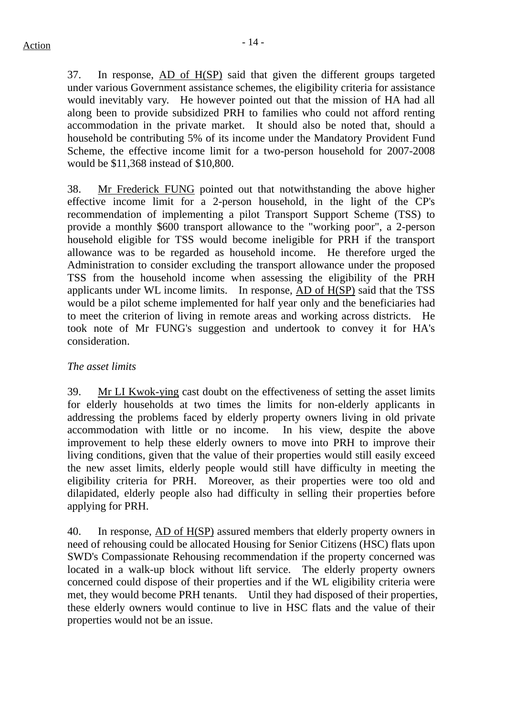37. In response, AD of H(SP) said that given the different groups targeted under various Government assistance schemes, the eligibility criteria for assistance would inevitably vary. He however pointed out that the mission of HA had all along been to provide subsidized PRH to families who could not afford renting accommodation in the private market. It should also be noted that, should a household be contributing 5% of its income under the Mandatory Provident Fund Scheme, the effective income limit for a two-person household for 2007-2008 would be \$11,368 instead of \$10,800.

38. Mr Frederick FUNG pointed out that notwithstanding the above higher effective income limit for a 2-person household, in the light of the CP's recommendation of implementing a pilot Transport Support Scheme (TSS) to provide a monthly \$600 transport allowance to the "working poor", a 2-person household eligible for TSS would become ineligible for PRH if the transport allowance was to be regarded as household income. He therefore urged the Administration to consider excluding the transport allowance under the proposed TSS from the household income when assessing the eligibility of the PRH applicants under WL income limits. In response, AD of H(SP) said that the TSS would be a pilot scheme implemented for half year only and the beneficiaries had to meet the criterion of living in remote areas and working across districts. He took note of Mr FUNG's suggestion and undertook to convey it for HA's consideration.

### *The asset limits*

39. Mr LI Kwok-ying cast doubt on the effectiveness of setting the asset limits for elderly households at two times the limits for non-elderly applicants in addressing the problems faced by elderly property owners living in old private accommodation with little or no income. In his view, despite the above improvement to help these elderly owners to move into PRH to improve their living conditions, given that the value of their properties would still easily exceed the new asset limits, elderly people would still have difficulty in meeting the eligibility criteria for PRH.Moreover, as their properties were too old and dilapidated, elderly people also had difficulty in selling their properties before applying for PRH.

40. In response, AD of H(SP) assured members that elderly property owners in need of rehousing could be allocated Housing for Senior Citizens (HSC) flats upon SWD's Compassionate Rehousing recommendation if the property concerned was located in a walk-up block without lift service. The elderly property owners concerned could dispose of their properties and if the WL eligibility criteria were met, they would become PRH tenants. Until they had disposed of their properties, these elderly owners would continue to live in HSC flats and the value of their properties would not be an issue.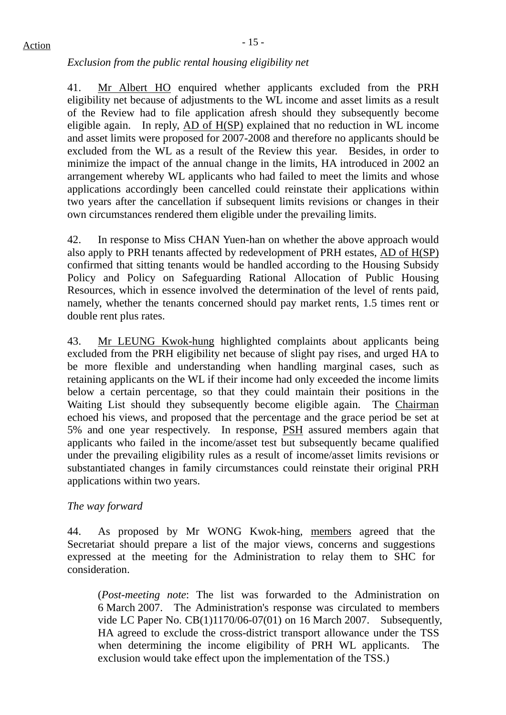*Exclusion from the public rental housing eligibility net* 

41. Mr Albert HO enquired whether applicants excluded from the PRH eligibility net because of adjustments to the WL income and asset limits as a result of the Review had to file application afresh should they subsequently become eligible again. In reply, AD of H(SP) explained that no reduction in WL income and asset limits were proposed for 2007-2008 and therefore no applicants should be excluded from the WL as a result of the Review this year. Besides, in order to minimize the impact of the annual change in the limits, HA introduced in 2002 an arrangement whereby WL applicants who had failed to meet the limits and whose applications accordingly been cancelled could reinstate their applications within two years after the cancellation if subsequent limits revisions or changes in their own circumstances rendered them eligible under the prevailing limits.

42. In response to Miss CHAN Yuen-han on whether the above approach would also apply to PRH tenants affected by redevelopment of PRH estates, AD of H(SP) confirmed that sitting tenants would be handled according to the Housing Subsidy Policy and Policy on Safeguarding Rational Allocation of Public Housing Resources, which in essence involved the determination of the level of rents paid, namely, whether the tenants concerned should pay market rents, 1.5 times rent or double rent plus rates.

43. Mr LEUNG Kwok-hung highlighted complaints about applicants being excluded from the PRH eligibility net because of slight pay rises, and urged HA to be more flexible and understanding when handling marginal cases, such as retaining applicants on the WL if their income had only exceeded the income limits below a certain percentage, so that they could maintain their positions in the Waiting List should they subsequently become eligible again. The Chairman echoed his views, and proposed that the percentage and the grace period be set at 5% and one year respectively. In response, PSH assured members again that applicants who failed in the income/asset test but subsequently became qualified under the prevailing eligibility rules as a result of income/asset limits revisions or substantiated changes in family circumstances could reinstate their original PRH applications within two years.

### *The way forward*

44. As proposed by Mr WONG Kwok-hing, members agreed that the Secretariat should prepare a list of the major views, concerns and suggestions expressed at the meeting for the Administration to relay them to SHC for consideration.

(*Post-meeting note*: The list was forwarded to the Administration on 6 March 2007. The Administration's response was circulated to members vide LC Paper No. CB(1)1170/06-07(01) on 16 March 2007. Subsequently, HA agreed to exclude the cross-district transport allowance under the TSS when determining the income eligibility of PRH WL applicants. The exclusion would take effect upon the implementation of the TSS.)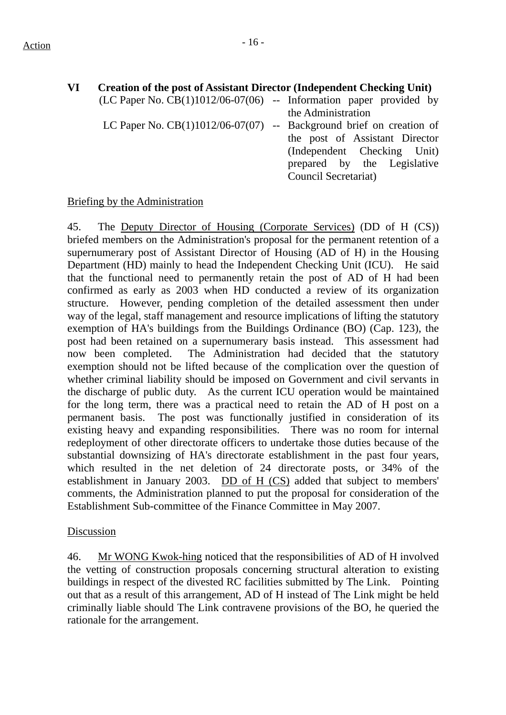| VI | <b>Creation of the post of Assistant Director (Independent Checking Unit)</b> |                                |
|----|-------------------------------------------------------------------------------|--------------------------------|
|    | $(LC$ Paper No. $CB(1)1012/06-07(06)$ -- Information paper provided by        |                                |
|    |                                                                               | the Administration             |
|    | LC Paper No. $CB(1)1012/06-07(07)$ -- Background brief on creation of         |                                |
|    |                                                                               | the post of Assistant Director |
|    |                                                                               | (Independent Checking Unit)    |
|    |                                                                               | prepared by the Legislative    |
|    |                                                                               | Council Secretariat)           |
|    |                                                                               |                                |

### Briefing by the Administration

45. The Deputy Director of Housing (Corporate Services) (DD of H (CS)) briefed members on the Administration's proposal for the permanent retention of a supernumerary post of Assistant Director of Housing (AD of H) in the Housing Department (HD) mainly to head the Independent Checking Unit (ICU). He said that the functional need to permanently retain the post of AD of H had been confirmed as early as 2003 when HD conducted a review of its organization structure. However, pending completion of the detailed assessment then under way of the legal, staff management and resource implications of lifting the statutory exemption of HA's buildings from the Buildings Ordinance (BO) (Cap. 123), the post had been retained on a supernumerary basis instead. This assessment had now been completed. The Administration had decided that the statutory exemption should not be lifted because of the complication over the question of whether criminal liability should be imposed on Government and civil servants in the discharge of public duty. As the current ICU operation would be maintained for the long term, there was a practical need to retain the AD of H post on a permanent basis. The post was functionally justified in consideration of its existing heavy and expanding responsibilities. There was no room for internal redeployment of other directorate officers to undertake those duties because of the substantial downsizing of HA's directorate establishment in the past four years, which resulted in the net deletion of 24 directorate posts, or 34% of the establishment in January 2003.  $DD$  of  $H (CS)$  added that subject to members' comments, the Administration planned to put the proposal for consideration of the Establishment Sub-committee of the Finance Committee in May 2007.

### Discussion

46. Mr WONG Kwok-hing noticed that the responsibilities of AD of H involved the vetting of construction proposals concerning structural alteration to existing buildings in respect of the divested RC facilities submitted by The Link. Pointing out that as a result of this arrangement, AD of H instead of The Link might be held criminally liable should The Link contravene provisions of the BO, he queried the rationale for the arrangement.